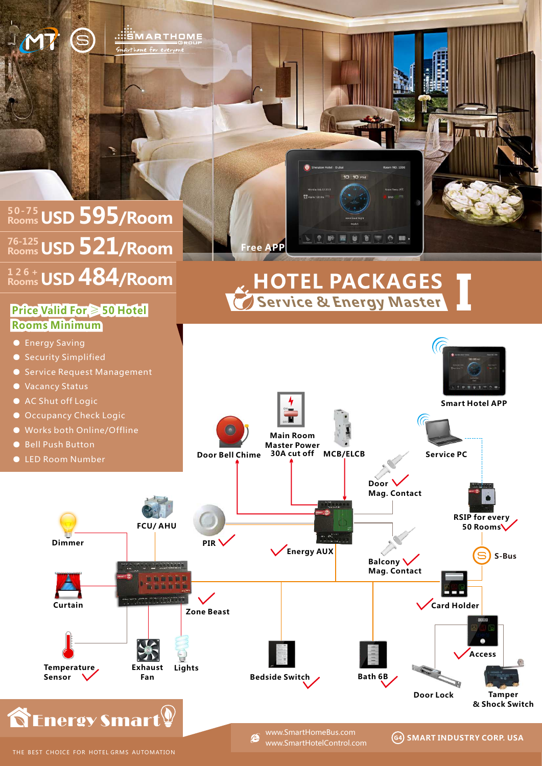

www.SmartHotelControl.com

**SMART INDUSTRY CORP. USA**